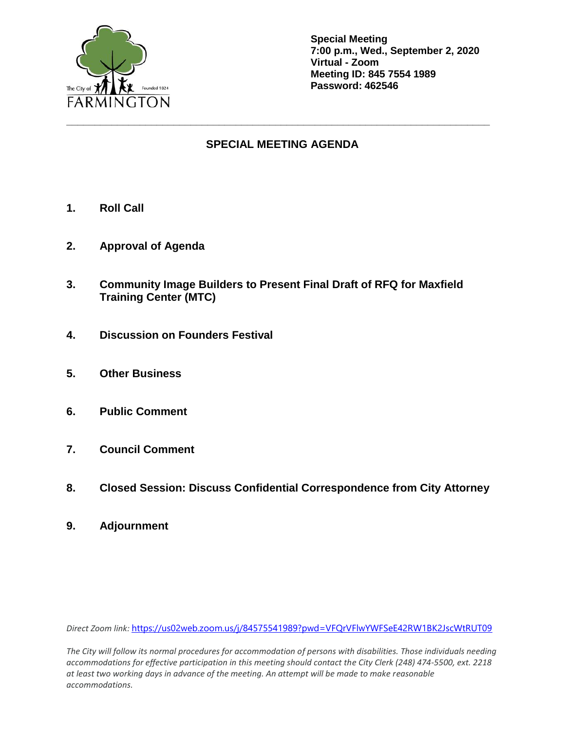

**Special Meeting 7:00 p.m., Wed., September 2, 2020 Virtual - Zoom Meeting ID: 845 7554 1989 Password: 462546**

## **SPECIAL MEETING AGENDA**

**\_\_\_\_\_\_\_\_\_\_\_\_\_\_\_\_\_\_\_\_\_\_\_\_\_\_\_\_\_\_\_\_\_\_\_\_\_\_\_\_\_\_\_\_\_\_\_\_\_\_\_\_\_\_\_\_\_\_\_\_\_\_\_\_\_\_\_\_\_\_\_\_\_\_\_**

- **1. Roll Call**
- **2. Approval of Agenda**
- **3. Community Image Builders to Present Final Draft of RFQ for Maxfield Training Center (MTC)**
- **4. Discussion on Founders Festival**
- **5. Other Business**
- **6. Public Comment**
- **7. Council Comment**
- **8. Closed Session: Discuss Confidential Correspondence from City Attorney**
- **9. Adjournment**

*Direct Zoom link:* <https://us02web.zoom.us/j/84575541989?pwd=VFQrVFlwYWFSeE42RW1BK2JscWtRUT09>

*The City will follow its normal procedures for accommodation of persons with disabilities. Those individuals needing accommodations for effective participation in this meeting should contact the City Clerk (248) 474-5500, ext. 2218 at least two working days in advance of the meeting. An attempt will be made to make reasonable accommodations.*